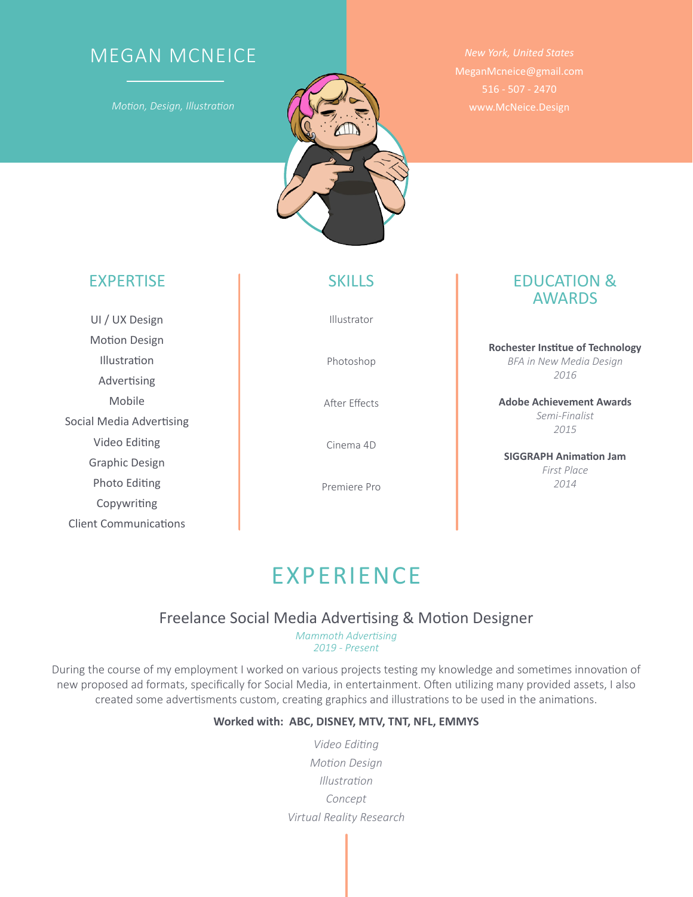# MEGAN MCNEICE

*Motion, Design, Illustration*



UI / UX Design **Motion Design** Illustration Advertising Mobile Social Media Advertising Video Editing Graphic Design Photo Editing Copywriting Client Communications

Illustrator

Photoshop

A�er Effects

Cinema 4D

Premiere Pro

*New York, United States* MeganMcneice@gmail.com 516 - 507 - 2470 www.McNeice.Design

### EXPERTISE **SKILLS** EDUCATION & AWARDS

**Rochester Ins�tue of Technology** *BFA in New Media Design 2016*

**Adobe Achievement Awards** *Semi-Finalist 2015*

**SIGGRAPH Animation Jam** *First Place 2014*

# EXPERIENCE

### Freelance Social Media Advertising & Motion Designer

*Mammoth Advertising 2019 - Present*

During the course of my employment I worked on various projects testing my knowledge and sometimes innovation of new proposed ad formats, specifically for Social Media, in entertainment. Often utilizing many provided assets, I also created some advertisments custom, creating graphics and illustrations to be used in the animations.

#### **Worked with: ABC, DISNEY, MTV, TNT, NFL, EMMYS**

*Video Editing Motion Design Illustration Concept Virtual Reality Research*